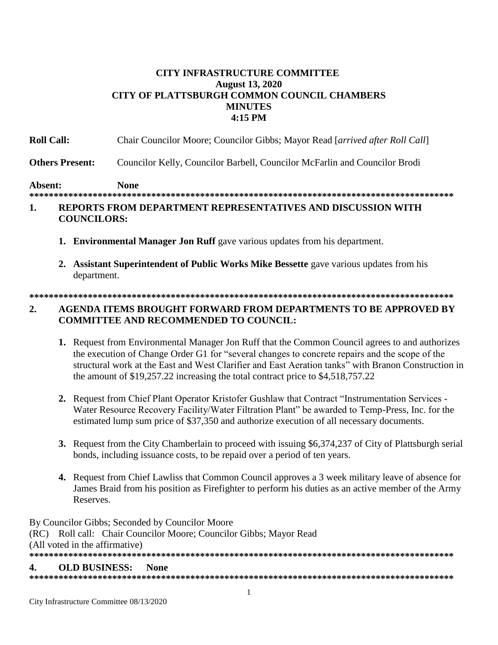## **CITY INFRASTRUCTURE COMMITTEE August 13, 2020 CITY OF PLATTSBURGH COMMON COUNCIL CHAMBERS MINUTES** 4:15 PM

| 1.             |                        | REPORTS FROM DEPARTMENT REPRESENTATIVES AND DISCUSSION WITH                  |
|----------------|------------------------|------------------------------------------------------------------------------|
| <b>Absent:</b> |                        | None                                                                         |
|                | <b>Others Present:</b> | Councilor Kelly, Councilor Barbell, Councilor McFarlin and Councilor Brodi   |
|                | <b>Roll Call:</b>      | Chair Councilor Moore; Councilor Gibbs; Mayor Read [arrived after Roll Call] |

# **COUNCILORS:**

- 1. Environmental Manager Jon Ruff gave various updates from his department.
- 2. Assistant Superintendent of Public Works Mike Bessette gave various updates from his department.

### $2.$ **AGENDA ITEMS BROUGHT FORWARD FROM DEPARTMENTS TO BE APPROVED BY COMMITTEE AND RECOMMENDED TO COUNCIL:**

- 1. Request from Environmental Manager Jon Ruff that the Common Council agrees to and authorizes the execution of Change Order G1 for "several changes to concrete repairs and the scope of the structural work at the East and West Clarifier and East Aeration tanks" with Branon Construction in the amount of \$19,257.22 increasing the total contract price to \$4,518,757.22
- 2. Request from Chief Plant Operator Kristofer Gushlaw that Contract "Instrumentation Services -Water Resource Recovery Facility/Water Filtration Plant" be awarded to Temp-Press, Inc. for the estimated lump sum price of \$37,350 and authorize execution of all necessary documents.
- 3. Request from the City Chamberlain to proceed with issuing \$6,374,237 of City of Plattsburgh serial bonds, including issuance costs, to be repaid over a period of ten years.
- 4. Request from Chief Lawliss that Common Council approves a 3 week military leave of absence for James Braid from his position as Firefighter to perform his duties as an active member of the Army Reserves.

By Councilor Gibbs; Seconded by Councilor Moore (RC) Roll call: Chair Councilor Moore; Councilor Gibbs; Mayor Read (All voted in the affirmative) **OLD BUSINESS:** 4. **None**